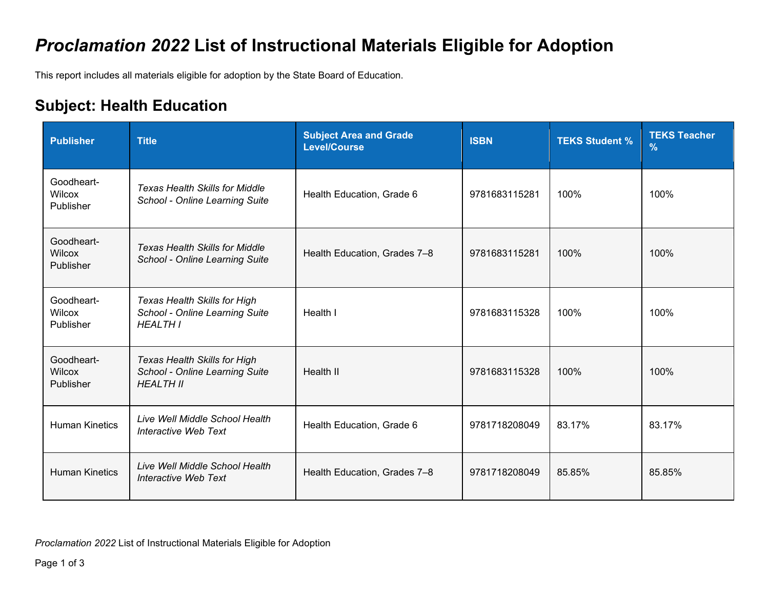## *Proclamation 2022* **List of Instructional Materials Eligible for Adoption**

This report includes all materials eligible for adoption by the State Board of Education.

## **Subject: Health Education**

| <b>Publisher</b>                  | <b>Title</b>                                                                              | <b>Subject Area and Grade</b><br><b>Level/Course</b> | <b>ISBN</b>   | <b>TEKS Student %</b> | <b>TEKS Teacher</b><br>$\frac{9}{6}$ |
|-----------------------------------|-------------------------------------------------------------------------------------------|------------------------------------------------------|---------------|-----------------------|--------------------------------------|
| Goodheart-<br>Wilcox<br>Publisher | <b>Texas Health Skills for Middle</b><br>School - Online Learning Suite                   | Health Education, Grade 6                            | 9781683115281 | 100%                  | 100%                                 |
| Goodheart-<br>Wilcox<br>Publisher | <b>Texas Health Skills for Middle</b><br>School - Online Learning Suite                   | Health Education, Grades 7-8                         | 9781683115281 | 100%                  | 100%                                 |
| Goodheart-<br>Wilcox<br>Publisher | <b>Texas Health Skills for High</b><br>School - Online Learning Suite<br><b>HEALTH I</b>  | Health I                                             | 9781683115328 | 100%                  | 100%                                 |
| Goodheart-<br>Wilcox<br>Publisher | <b>Texas Health Skills for High</b><br>School - Online Learning Suite<br><b>HEALTH II</b> | Health II                                            | 9781683115328 | 100%                  | 100%                                 |
| <b>Human Kinetics</b>             | Live Well Middle School Health<br>Interactive Web Text                                    | Health Education, Grade 6                            | 9781718208049 | 83.17%                | 83.17%                               |
| <b>Human Kinetics</b>             | Live Well Middle School Health<br>Interactive Web Text                                    | Health Education, Grades 7-8                         | 9781718208049 | 85.85%                | 85.85%                               |

*Proclamation 2022* List of Instructional Materials Eligible for Adoption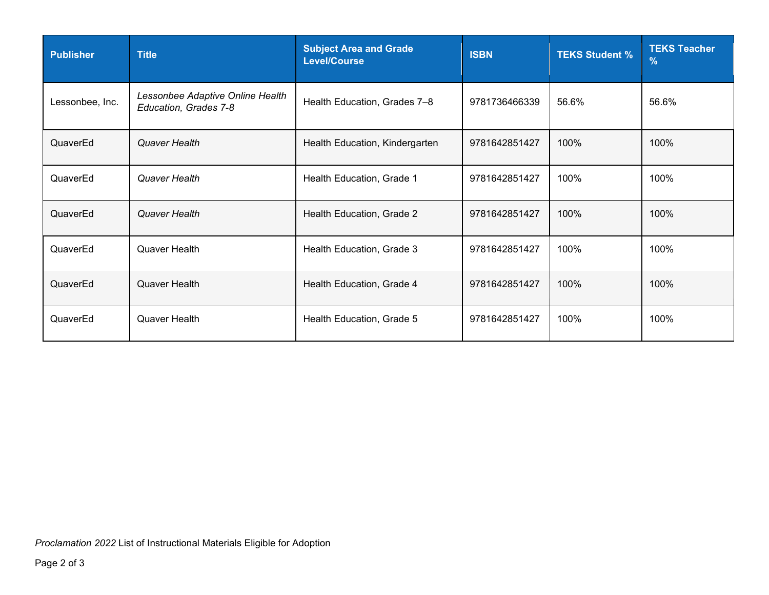| <b>Publisher</b> | <b>Title</b>                                              | <b>Subject Area and Grade</b><br><b>Level/Course</b> | <b>ISBN</b>   | <b>TEKS Student %</b> | <b>TEKS Teacher</b><br>$\%$ |
|------------------|-----------------------------------------------------------|------------------------------------------------------|---------------|-----------------------|-----------------------------|
| Lessonbee, Inc.  | Lessonbee Adaptive Online Health<br>Education, Grades 7-8 | Health Education, Grades 7-8                         | 9781736466339 | 56.6%                 | 56.6%                       |
| QuaverEd         | Quaver Health                                             | Health Education, Kindergarten                       | 9781642851427 | 100%                  | 100%                        |
| QuaverEd         | Quaver Health                                             | Health Education, Grade 1                            | 9781642851427 | 100%                  | 100%                        |
| QuaverEd         | Quaver Health                                             | Health Education, Grade 2                            | 9781642851427 | 100%                  | 100%                        |
| QuaverEd         | Quaver Health                                             | Health Education, Grade 3                            | 9781642851427 | 100%                  | 100%                        |
| QuaverEd         | Quaver Health                                             | Health Education, Grade 4                            | 9781642851427 | 100%                  | 100%                        |
| QuaverEd         | Quaver Health                                             | Health Education, Grade 5                            | 9781642851427 | 100%                  | 100%                        |